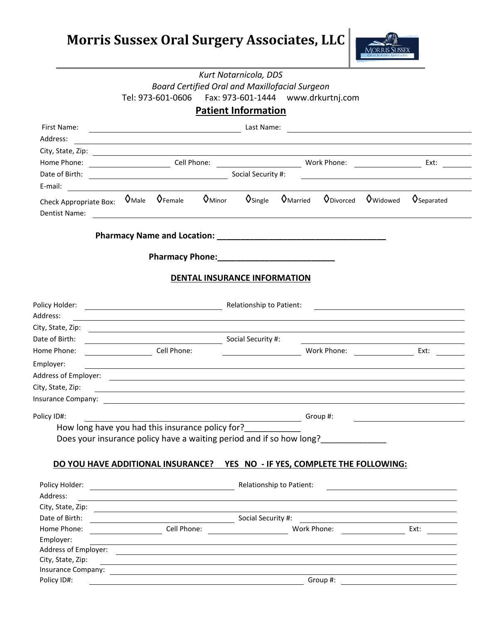**Morris Sussex Oral Surgery Associates, LLC**



|                                                                                                                                                                                                                                |  |                                                                                                                        |  | Kurt Notarnicola, DDS               |                  |                                  |                                                                                                                        |                                 |
|--------------------------------------------------------------------------------------------------------------------------------------------------------------------------------------------------------------------------------|--|------------------------------------------------------------------------------------------------------------------------|--|-------------------------------------|------------------|----------------------------------|------------------------------------------------------------------------------------------------------------------------|---------------------------------|
|                                                                                                                                                                                                                                |  | <b>Board Certified Oral and Maxillofacial Surgeon</b>                                                                  |  |                                     |                  |                                  |                                                                                                                        |                                 |
|                                                                                                                                                                                                                                |  | Tel: 973-601-0606    Fax: 973-601-1444    www.drkurtnj.com                                                             |  |                                     |                  |                                  |                                                                                                                        |                                 |
|                                                                                                                                                                                                                                |  |                                                                                                                        |  | <b>Patient Information</b>          |                  |                                  |                                                                                                                        |                                 |
| First Name:                                                                                                                                                                                                                    |  |                                                                                                                        |  | Last Name:                          |                  |                                  | <u> 1980 - Johann Barn, mars ann an t-Amhain Aonaich an t-Aonaich an t-Aonaich ann an t-Aonaich ann an t-Aonaich</u>   |                                 |
| Address:                                                                                                                                                                                                                       |  | <u> 1989 - Johann Stoff, deutscher Stoffen und der Stoffen und der Stoffen und der Stoffen und der Stoffen und der</u> |  |                                     |                  |                                  |                                                                                                                        |                                 |
|                                                                                                                                                                                                                                |  |                                                                                                                        |  |                                     |                  |                                  |                                                                                                                        |                                 |
| Home Phone:                                                                                                                                                                                                                    |  |                                                                                                                        |  |                                     |                  |                                  |                                                                                                                        | Ext:                            |
| Date of Birth:                                                                                                                                                                                                                 |  |                                                                                                                        |  | Social Security #:                  |                  |                                  |                                                                                                                        |                                 |
| E-mail:                                                                                                                                                                                                                        |  |                                                                                                                        |  |                                     |                  |                                  |                                                                                                                        |                                 |
| Check Appropriate Box: $\circ$ Male $\circ$ Female $\circ$ Minor<br>Dentist Name:                                                                                                                                              |  | <u> 1980 - Johann John Stein, fransk politik (f. 1980)</u>                                                             |  | $\mathsf{O}$ Single                 | <b>V</b> Married | $\mathsf{Q}_{\mathsf{Divorced}}$ | <b>V</b> Widowed                                                                                                       | <b>V</b> Separated              |
|                                                                                                                                                                                                                                |  |                                                                                                                        |  |                                     |                  |                                  |                                                                                                                        |                                 |
|                                                                                                                                                                                                                                |  |                                                                                                                        |  |                                     |                  |                                  |                                                                                                                        |                                 |
|                                                                                                                                                                                                                                |  |                                                                                                                        |  | <b>DENTAL INSURANCE INFORMATION</b> |                  |                                  |                                                                                                                        |                                 |
| Policy Holder:                                                                                                                                                                                                                 |  |                                                                                                                        |  | Relationship to Patient:            |                  |                                  |                                                                                                                        |                                 |
| Address:                                                                                                                                                                                                                       |  | and the control of the control of the control of the control of the control of the control of the control of the       |  |                                     |                  |                                  |                                                                                                                        |                                 |
| City, State, Zip:                                                                                                                                                                                                              |  |                                                                                                                        |  |                                     |                  |                                  |                                                                                                                        |                                 |
| Date of Birth:                                                                                                                                                                                                                 |  | Social Security #:                                                                                                     |  |                                     |                  |                                  |                                                                                                                        |                                 |
| Home Phone:                                                                                                                                                                                                                    |  | Cell Phone:                                                                                                            |  |                                     |                  | Work Phone:                      |                                                                                                                        | Ext:                            |
| Employer:                                                                                                                                                                                                                      |  |                                                                                                                        |  |                                     |                  |                                  |                                                                                                                        |                                 |
|                                                                                                                                                                                                                                |  |                                                                                                                        |  |                                     |                  |                                  |                                                                                                                        |                                 |
| City, State, Zip:                                                                                                                                                                                                              |  |                                                                                                                        |  |                                     |                  |                                  |                                                                                                                        |                                 |
| Insurance Company: The Company of The Company of The Company of The Company of The Company of The Company of T                                                                                                                 |  |                                                                                                                        |  |                                     |                  |                                  |                                                                                                                        |                                 |
| Policy ID#:                                                                                                                                                                                                                    |  |                                                                                                                        |  |                                     |                  | Group #:                         |                                                                                                                        |                                 |
| How long have you had this insurance policy for?                                                                                                                                                                               |  |                                                                                                                        |  |                                     |                  |                                  |                                                                                                                        |                                 |
| Does your insurance policy have a waiting period and if so how long?                                                                                                                                                           |  |                                                                                                                        |  |                                     |                  |                                  |                                                                                                                        |                                 |
|                                                                                                                                                                                                                                |  |                                                                                                                        |  |                                     |                  |                                  |                                                                                                                        |                                 |
| DO YOU HAVE ADDITIONAL INSURANCE? YES NO - IF YES, COMPLETE THE FOLLOWING:                                                                                                                                                     |  |                                                                                                                        |  |                                     |                  |                                  |                                                                                                                        |                                 |
|                                                                                                                                                                                                                                |  |                                                                                                                        |  |                                     |                  |                                  |                                                                                                                        |                                 |
|                                                                                                                                                                                                                                |  |                                                                                                                        |  |                                     |                  |                                  |                                                                                                                        |                                 |
| Address:                                                                                                                                                                                                                       |  |                                                                                                                        |  |                                     |                  |                                  | <u> 1980 - Johann Stoff, die erste besteht der Stoffens und die Stoffens und die Stoffens und die Stoffens und die</u> |                                 |
| City, State, Zip: 2008. Experience of the State of the State of the State of the State of the State of the State of the State of the State of the State of the State of the State of the State of the State of the State of th |  |                                                                                                                        |  |                                     |                  |                                  |                                                                                                                        |                                 |
| Date of Birth:                                                                                                                                                                                                                 |  |                                                                                                                        |  |                                     |                  |                                  |                                                                                                                        |                                 |
| Home Phone:                                                                                                                                                                                                                    |  |                                                                                                                        |  |                                     |                  |                                  | Work Phone: Ext:                                                                                                       |                                 |
| Employer:                                                                                                                                                                                                                      |  | <u> 1989 - Johann Stoff, amerikansk politiker (d. 1989)</u>                                                            |  |                                     |                  |                                  |                                                                                                                        |                                 |
|                                                                                                                                                                                                                                |  |                                                                                                                        |  |                                     |                  |                                  |                                                                                                                        |                                 |
| City, State, Zip:                                                                                                                                                                                                              |  |                                                                                                                        |  |                                     |                  |                                  | ,我们也不会有一个人的人,我们也不会有一个人的人,我们也不会有一个人的人,我们也不会有一个人的人,我们也不会有一个人的人。""我们的人,我们也不会有一个人的人,我                                      |                                 |
| Insurance Company:<br>Policy ID#:                                                                                                                                                                                              |  |                                                                                                                        |  |                                     |                  |                                  |                                                                                                                        | Group #: $\qquad \qquad \qquad$ |
|                                                                                                                                                                                                                                |  |                                                                                                                        |  |                                     |                  |                                  |                                                                                                                        |                                 |